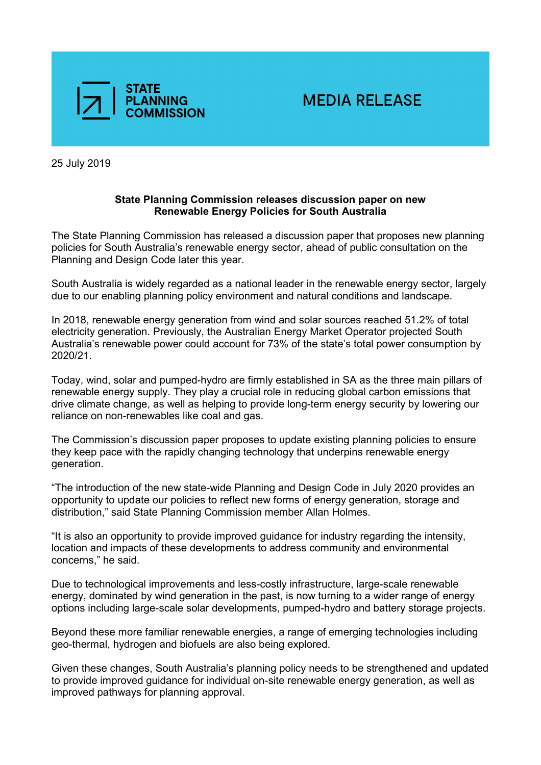

25 July 2019

## **State Planning Commission releases discussion paper on new Renewable Energy Policies for South Australia**

The State Planning Commission has released a discussion paper that proposes new planning policies for South Australia's renewable energy sector, ahead of public consultation on the Planning and Design Code later this year.

South Australia is widely regarded as a national leader in the renewable energy sector, largely due to our enabling planning policy environment and natural conditions and landscape.

In 2018, renewable energy generation from wind and solar sources reached 51.2% of total electricity generation. Previously, the Australian Energy Market Operator projected South Australia's renewable power could account for 73% of the state's total power consumption by 2020/21.

Today, wind, solar and pumped-hydro are firmly established in SA as the three main pillars of renewable energy supply. They play a crucial role in reducing global carbon emissions that drive climate change, as well as helping to provide long-term energy security by lowering our reliance on non-renewables like coal and gas.

The Commission's discussion paper proposes to update existing planning policies to ensure they keep pace with the rapidly changing technology that underpins renewable energy generation.

"The introduction of the new state-wide Planning and Design Code in July 2020 provides an opportunity to update our policies to reflect new forms of energy generation, storage and distribution," said State Planning Commission member Allan Holmes.

"It is also an opportunity to provide improved guidance for industry regarding the intensity, location and impacts of these developments to address community and environmental concerns," he said.

Due to technological improvements and less-costly infrastructure, large-scale renewable energy, dominated by wind generation in the past, is now turning to a wider range of energy options including large-scale solar developments, pumped-hydro and battery storage projects.

Beyond these more familiar renewable energies, a range of emerging technologies including geo-thermal, hydrogen and biofuels are also being explored.

Given these changes, South Australia's planning policy needs to be strengthened and updated to provide improved guidance for individual on-site renewable energy generation, as well as improved pathways for planning approval.